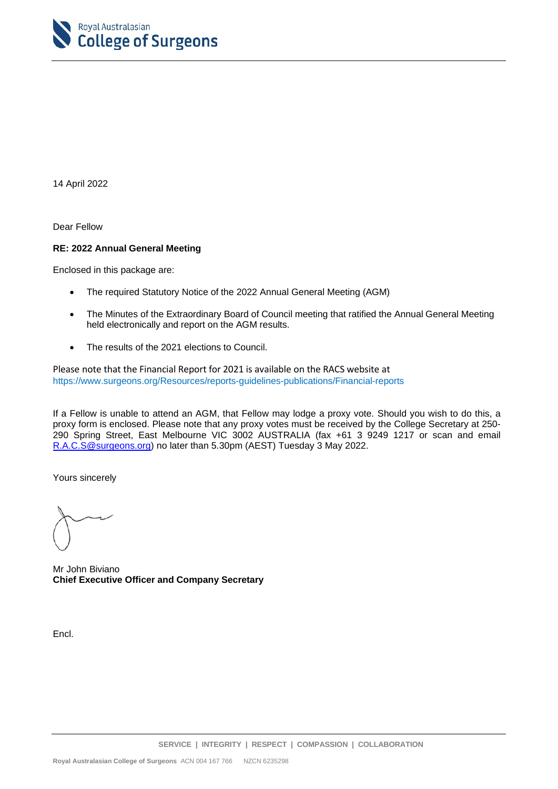

14 April 2022

Dear Fellow

#### **RE: 2022 Annual General Meeting**

Enclosed in this package are:

- The required Statutory Notice of the 2022 Annual General Meeting (AGM)
- The Minutes of the Extraordinary Board of Council meeting that ratified the Annual General Meeting held electronically and report on the AGM results.
- The results of the 2021 elections to Council.

Please note that the Financial Report for 2021 is available on the RACS website at <https://www.surgeons.org/Resources/reports-guidelines-publications/Financial-reports>

If a Fellow is unable to attend an AGM, that Fellow may lodge a proxy vote. Should you wish to do this, a proxy form is enclosed. Please note that any proxy votes must be received by the College Secretary at 250- 290 Spring Street, East Melbourne VIC 3002 AUSTRALIA (fax +61 3 9249 1217 or scan and email [R.A.C.S@surgeons.org\)](mailto:R.A.C.S@surgeons.org) no later than 5.30pm (AEST) Tuesday 3 May 2022.

Yours sincerely

Mr John Biviano **Chief Executive Officer and Company Secretary**

Encl.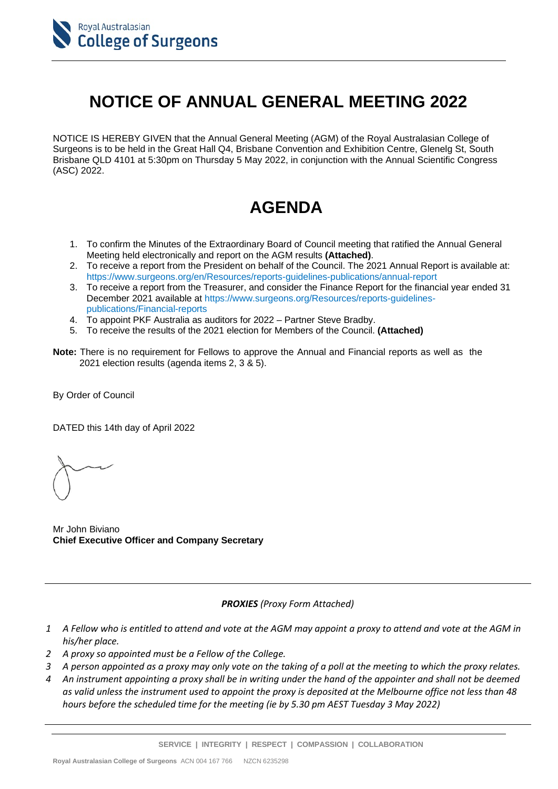

# **NOTICE OF ANNUAL GENERAL MEETING 2022**

NOTICE IS HEREBY GIVEN that the Annual General Meeting (AGM) of the Royal Australasian College of Surgeons is to be held in the Great Hall Q4, Brisbane Convention and Exhibition Centre, Glenelg St, South Brisbane QLD 4101 at 5:30pm on Thursday 5 May 2022, in conjunction with the Annual Scientific Congress (ASC) 2022.

## **AGENDA**

- 1. To confirm the Minutes of the Extraordinary Board of Council meeting that ratified the Annual General Meeting held electronically and report on the AGM results **(Attached)**.
- 2. To receive a report from the President on behalf of the Council. The 2021 Annual Report is available at: https://www.surgeons.org/en/Resources/reports-guidelines-publications/annual-report
- 3. To receive a report from the Treasurer, and consider the Finance Report for the financial year ended 31 December 2021 available at [https://www.surgeons.org/Resources/reports-guidelines](https://www.surgeons.org/Resources/reports-guidelines-publications/Financial-reports)[publications/Financial-reports](https://www.surgeons.org/Resources/reports-guidelines-publications/Financial-reports)
- 4. To appoint PKF Australia as auditors for 2022 Partner Steve Bradby.
- 5. To receive the results of the 2021 election for Members of the Council. **(Attached)**
- **Note:** There is no requirement for Fellows to approve the Annual and Financial reports as well as the 2021 election results (agenda items 2, 3 & 5).

By Order of Council

DATED this 14th day of April 2022

Mr John Biviano **Chief Executive Officer and Company Secretary**

*PROXIES (Proxy Form Attached)*

- *1 A Fellow who is entitled to attend and vote at the AGM may appoint a proxy to attend and vote at the AGM in his/her place.*
- *2 A proxy so appointed must be a Fellow of the College.*
- *3 A person appointed as a proxy may only vote on the taking of a poll at the meeting to which the proxy relates.*
- *4 An instrument appointing a proxy shall be in writing under the hand of the appointer and shall not be deemed as valid unless the instrument used to appoint the proxy is deposited at the Melbourne office not less than 48 hours before the scheduled time for the meeting (ie by 5.30 pm AEST Tuesday 3 May 2022)*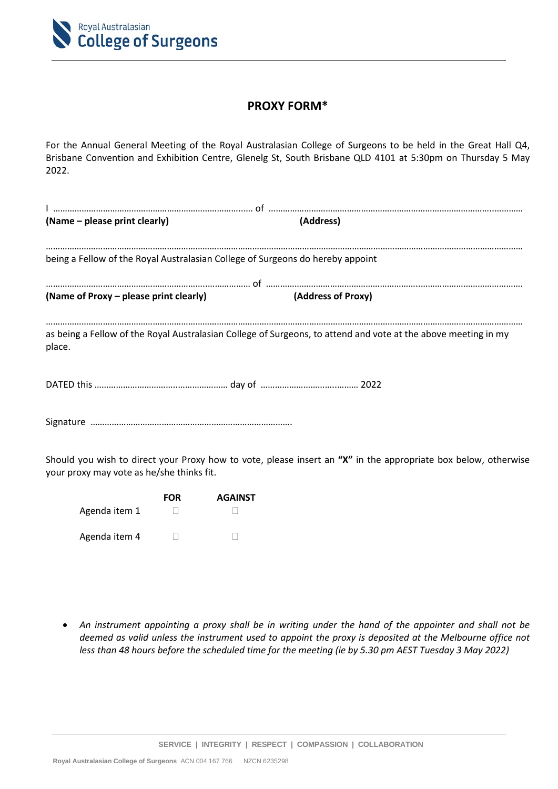

#### **PROXY FORM\***

For the Annual General Meeting of the Royal Australasian College of Surgeons to be held in the Great Hall Q4, Brisbane Convention and Exhibition Centre, Glenelg St, South Brisbane QLD 4101 at 5:30pm on Thursday 5 May 2022.

| (Name – please print clearly)                                                  | (Address)                                                                                                      |
|--------------------------------------------------------------------------------|----------------------------------------------------------------------------------------------------------------|
| being a Fellow of the Royal Australasian College of Surgeons do hereby appoint |                                                                                                                |
| (Name of Proxy – please print clearly)                                         | (Address of Proxy)                                                                                             |
| <br>place.                                                                     | as being a Fellow of the Royal Australasian College of Surgeons, to attend and vote at the above meeting in my |
|                                                                                |                                                                                                                |
|                                                                                |                                                                                                                |
| your proxy may vote as he/she thinks fit.                                      | Should you wish to direct your Proxy how to vote, please insert an "X" in the appropriate box below, otherwise |

 **FOR AGAINST** Agenda item 1 and 1 and 1 and 1 and 1 and 1 and 1 and 1 and 1 and 1 and 1 and 1 and 1 and 1 and 1 and 1 and 1 and 1 and 1 and 1 and 1 and 1 and 1 and 1 and 1 and 1 and 1 and 1 and 1 and 1 and 1 and 1 and 1 and 1 and 1 and

Agenda item 4

• *An instrument appointing a proxy shall be in writing under the hand of the appointer and shall not be deemed as valid unless the instrument used to appoint the proxy is deposited at the Melbourne office not less than 48 hours before the scheduled time for the meeting (ie by 5.30 pm AEST Tuesday 3 May 2022)*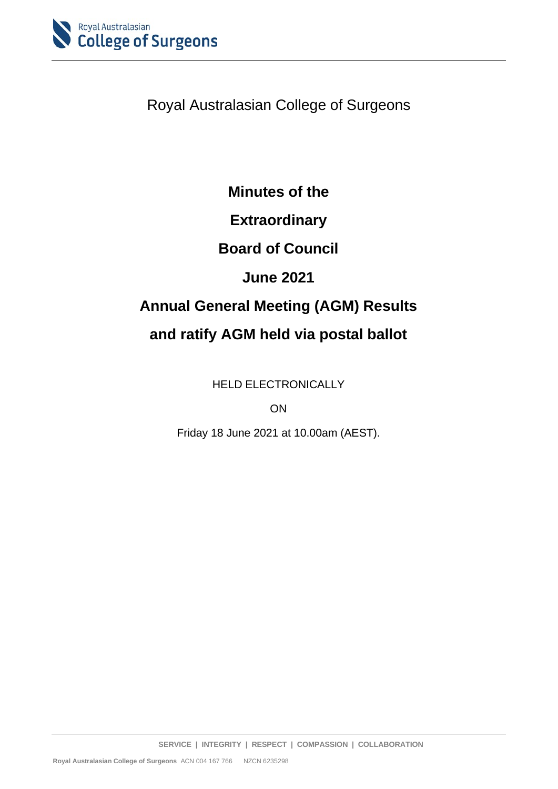

Royal Australasian College of Surgeons

### **Minutes of the**

### **Extraordinary**

### **Board of Council**

### **June 2021**

# **Annual General Meeting (AGM) Results and ratify AGM held via postal ballot**

HELD ELECTRONICALLY

ON

Friday 18 June 2021 at 10.00am (AEST).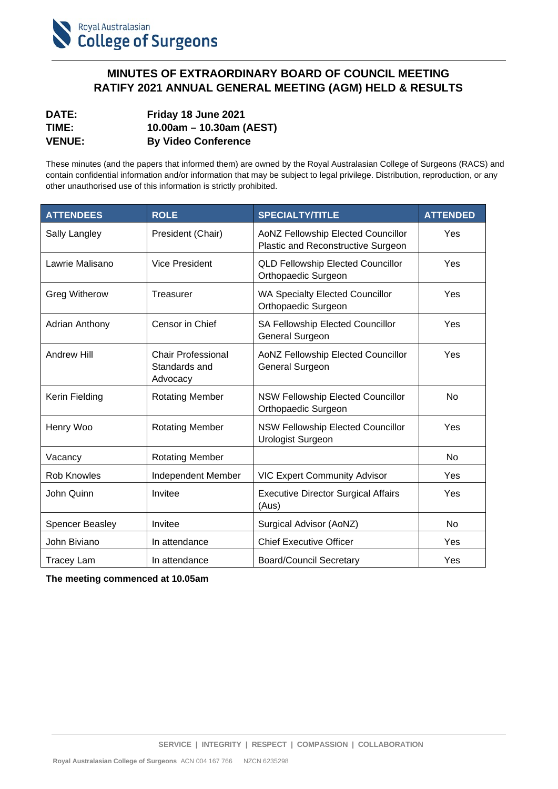

#### **MINUTES OF EXTRAORDINARY BOARD OF COUNCIL MEETING RATIFY 2021 ANNUAL GENERAL MEETING (AGM) HELD & RESULTS**

| <b>DATE:</b>  | Friday 18 June 2021        |
|---------------|----------------------------|
| TIME:         | 10.00am – 10.30am (AEST)   |
| <b>VENUE:</b> | <b>By Video Conference</b> |

These minutes (and the papers that informed them) are owned by the Royal Australasian College of Surgeons (RACS) and contain confidential information and/or information that may be subject to legal privilege. Distribution, reproduction, or any other unauthorised use of this information is strictly prohibited.

| <b>ATTENDEES</b>       | <b>ROLE</b>                                            | <b>SPECIALTY/TITLE</b>                                                   | <b>ATTENDED</b> |
|------------------------|--------------------------------------------------------|--------------------------------------------------------------------------|-----------------|
| <b>Sally Langley</b>   | President (Chair)                                      | AoNZ Fellowship Elected Councillor<br>Plastic and Reconstructive Surgeon | Yes             |
| Lawrie Malisano        | <b>Vice President</b>                                  | <b>QLD Fellowship Elected Councillor</b><br>Orthopaedic Surgeon          | Yes             |
| <b>Greg Witherow</b>   | Treasurer                                              | <b>WA Specialty Elected Councillor</b><br>Orthopaedic Surgeon            | Yes             |
| <b>Adrian Anthony</b>  | Censor in Chief                                        | SA Fellowship Elected Councillor<br>General Surgeon                      | Yes             |
| <b>Andrew Hill</b>     | <b>Chair Professional</b><br>Standards and<br>Advocacy | AoNZ Fellowship Elected Councillor<br><b>General Surgeon</b>             | Yes             |
| Kerin Fielding         | <b>Rotating Member</b>                                 | <b>NSW Fellowship Elected Councillor</b><br>Orthopaedic Surgeon          | <b>No</b>       |
| Henry Woo              | <b>Rotating Member</b>                                 | NSW Fellowship Elected Councillor<br><b>Urologist Surgeon</b>            | Yes             |
| Vacancy                | <b>Rotating Member</b>                                 |                                                                          | <b>No</b>       |
| Rob Knowles            | Independent Member                                     | <b>VIC Expert Community Advisor</b>                                      | Yes             |
| John Quinn             | Invitee                                                | <b>Executive Director Surgical Affairs</b><br>(Aus)                      | Yes             |
| <b>Spencer Beasley</b> | Invitee                                                | Surgical Advisor (AoNZ)                                                  | No              |
| John Biviano           | In attendance                                          | <b>Chief Executive Officer</b>                                           | Yes             |
| <b>Tracey Lam</b>      | In attendance                                          | <b>Board/Council Secretary</b>                                           | Yes             |

**The meeting commenced at 10.05am**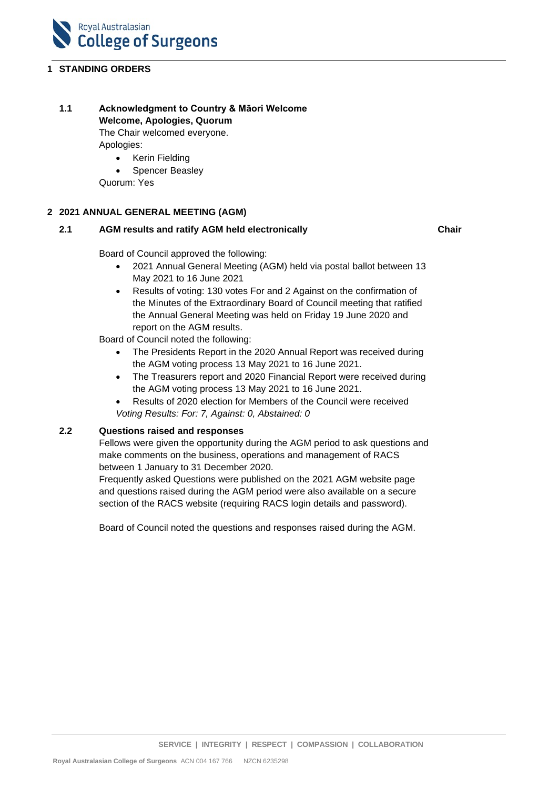

#### **1 STANDING ORDERS**

### **1.1 Acknowledgment to Country & Māori Welcome**

**Welcome, Apologies, Quorum** The Chair welcomed everyone.

Apologies:

- Kerin Fielding
- Spencer Beasley

Quorum: Yes

#### **2 2021 ANNUAL GENERAL MEETING (AGM)**

#### **2.1 AGM results and ratify AGM held electronically**

**Chair**

Board of Council approved the following:

- 2021 Annual General Meeting (AGM) held via postal ballot between 13 May 2021 to 16 June 2021
- Results of voting: 130 votes For and 2 Against on the confirmation of the Minutes of the Extraordinary Board of Council meeting that ratified the Annual General Meeting was held on Friday 19 June 2020 and report on the AGM results.

Board of Council noted the following:

- The Presidents Report in the 2020 Annual Report was received during the AGM voting process 13 May 2021 to 16 June 2021.
- The Treasurers report and 2020 Financial Report were received during the AGM voting process 13 May 2021 to 16 June 2021.
- Results of 2020 election for Members of the Council were received *Voting Results: For: 7, Against: 0, Abstained: 0*

#### **2.2 Questions raised and responses**

Fellows were given the opportunity during the AGM period to ask questions and make comments on the business, operations and management of RACS between 1 January to 31 December 2020.

Frequently asked Questions were published on the 2021 AGM website page and questions raised during the AGM period were also available on a secure section of the RACS website (requiring RACS login details and password).

Board of Council noted the questions and responses raised during the AGM.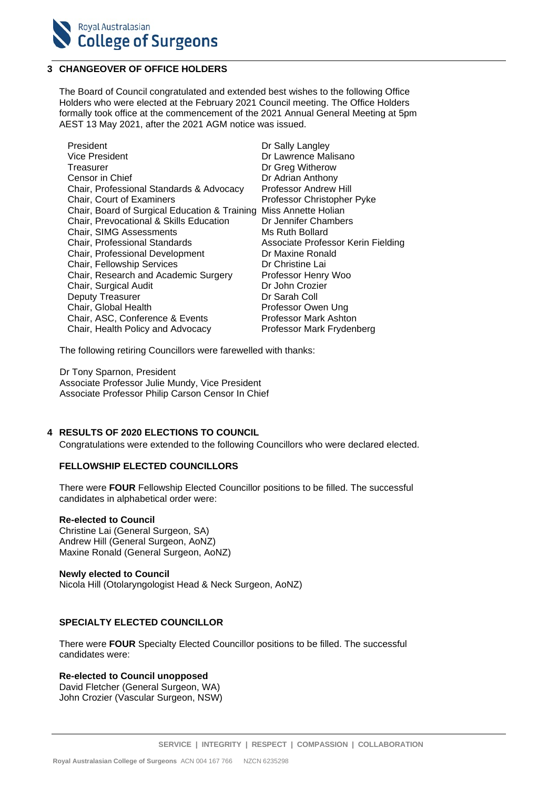

#### **3 CHANGEOVER OF OFFICE HOLDERS**

The Board of Council congratulated and extended best wishes to the following Office Holders who were elected at the February 2021 Council meeting. The Office Holders formally took office at the commencement of the 2021 Annual General Meeting at 5pm AEST 13 May 2021, after the 2021 AGM notice was issued.

| President                                     | Dr Sally Langley                   |
|-----------------------------------------------|------------------------------------|
| <b>Vice President</b>                         | Dr Lawrence Malisano               |
| Treasurer                                     | Dr Greg Witherow                   |
| Censor in Chief                               | Dr Adrian Anthony                  |
| Chair, Professional Standards & Advocacy      | <b>Professor Andrew Hill</b>       |
| <b>Chair, Court of Examiners</b>              | Professor Christopher Pyke         |
| Chair, Board of Surgical Education & Training | Miss Annette Holian                |
| Chair, Prevocational & Skills Education       | Dr Jennifer Chambers               |
| Chair, SIMG Assessments                       | Ms Ruth Bollard                    |
| <b>Chair, Professional Standards</b>          | Associate Professor Kerin Fielding |
| Chair, Professional Development               | Dr Maxine Ronald                   |
| Chair, Fellowship Services                    | Dr Christine Lai                   |
| Chair, Research and Academic Surgery          | Professor Henry Woo                |
| Chair, Surgical Audit                         | Dr John Crozier                    |
| <b>Deputy Treasurer</b>                       | Dr Sarah Coll                      |
| Chair, Global Health                          | Professor Owen Ung                 |
| Chair, ASC, Conference & Events               | Professor Mark Ashton              |
| Chair, Health Policy and Advocacy             | Professor Mark Frydenberg          |

The following retiring Councillors were farewelled with thanks:

Dr Tony Sparnon, President Associate Professor Julie Mundy, Vice President Associate Professor Philip Carson Censor In Chief

#### **4 RESULTS OF 2020 ELECTIONS TO COUNCIL**

Congratulations were extended to the following Councillors who were declared elected.

#### **FELLOWSHIP ELECTED COUNCILLORS**

There were **FOUR** Fellowship Elected Councillor positions to be filled. The successful candidates in alphabetical order were:

#### **Re-elected to Council**

Christine Lai (General Surgeon, SA) Andrew Hill (General Surgeon, AoNZ) Maxine Ronald (General Surgeon, AoNZ)

#### **Newly elected to Council**

Nicola Hill (Otolaryngologist Head & Neck Surgeon, AoNZ)

#### **SPECIALTY ELECTED COUNCILLOR**

There were **FOUR** Specialty Elected Councillor positions to be filled. The successful candidates were:

#### **Re-elected to Council unopposed**

David Fletcher (General Surgeon, WA) John Crozier (Vascular Surgeon, NSW)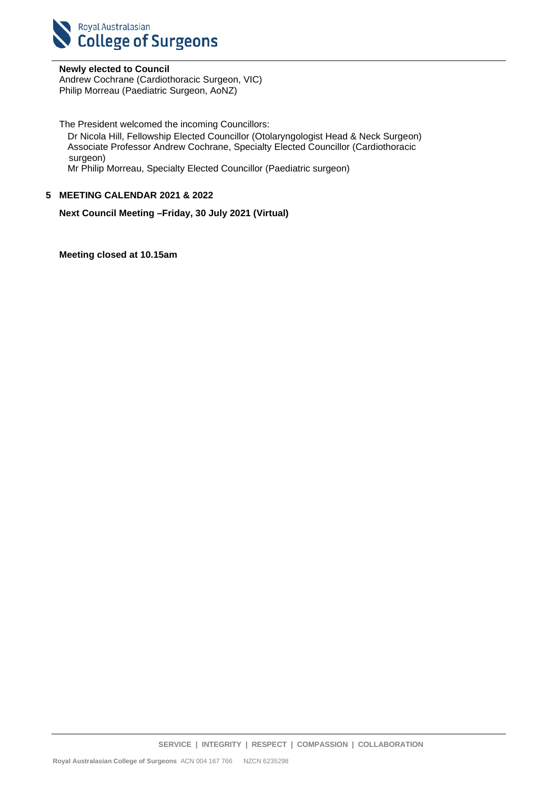

**Newly elected to Council** Andrew Cochrane (Cardiothoracic Surgeon, VIC) Philip Morreau (Paediatric Surgeon, AoNZ)

The President welcomed the incoming Councillors:

Dr Nicola Hill, Fellowship Elected Councillor (Otolaryngologist Head & Neck Surgeon) Associate Professor Andrew Cochrane, Specialty Elected Councillor (Cardiothoracic surgeon)

Mr Philip Morreau, Specialty Elected Councillor (Paediatric surgeon)

#### **5 MEETING CALENDAR 2021 & 2022**

**Next Council Meeting –Friday, 30 July 2021 (Virtual)**

**Meeting closed at 10.15am**